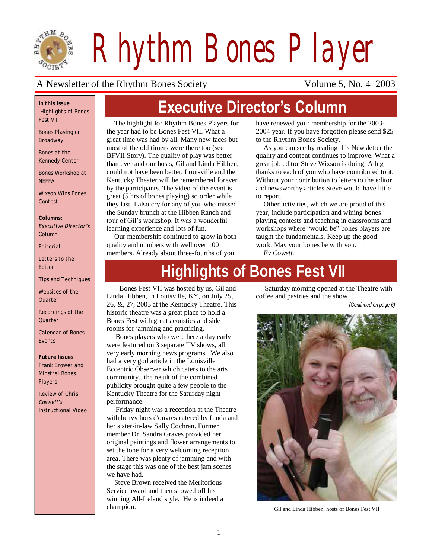

*Rhythm Bones Player*

#### A Newsletter of the Rhythm Bones Society Volume 5, No. 4 2003

*In this Issue Highlights of Bones Fest VII*

*Bones Playing on Broadway*

*Bones at the Kennedy Center*

*Bones Workshop at NEFFA*

*Wixson Wins Bones Contest*

*Columns: Executive Director's Column*

*Editorial*

*Letters to the Editor*

*Tips and Techniques*

*Websites of the Quarter*

*Recordings of the Quarter*

*Calendar of Bones Events*

*Future Issues Frank Brower and Minstrel Bones Players*

*Review of Chris Caswell's Instructional Video*

# **Executive Director's Column**

The highlight for Rhythm Bones Players for the year had to be Bones Fest VII. What a great time was had by all. Many new faces but most of the old timers were there too (see BFVII Story). The quality of play was better than ever and our hosts, Gil and Linda Hibben, could not have been better. Louisville and the Kentucky Theater will be remembered forever by the participants. The video of the event is great (5 hrs of bones playing) so order while they last. I also cry for any of you who missed the Sunday brunch at the Hibben Ranch and tour of Gil"s workshop. It was a wonderful learning experience and lots of fun.

Our membership continued to grow in both quality and numbers with well over 100 members. Already about three-fourths of you

have renewed your membership for the 2003- 2004 year. If you have forgotten please send \$25 to the Rhythm Bones Society.

As you can see by reading this Newsletter the quality and content continues to improve. What a great job editor Steve Wixson is doing. A big thanks to each of you who have contributed to it. Without your contribution to letters to the editor and newsworthy articles Steve would have little to report.

Other activities, which we are proud of this year, include participation and wining bones playing contests and teaching in classrooms and workshops where "would be" bones players are taught the fundamentals. Keep up the good work. May your bones be with you.

*Ev Cowett.* 

# **Highlights of Bones Fest VII**

Bones Fest VII was hosted by us, Gil and Linda Hibben, in Louisville, KY, on July 25, 26, &, 27, 2003 at the Kentucky Theatre. This historic theatre was a great place to hold a Bones Fest with great acoustics and side rooms for jamming and practicing.

 Bones players who were here a day early were featured on 3 separate TV shows, all very early morning news programs. We also had a very god article in the Louisville Eccentric Observer which caters to the arts community...the result of the combined publicity brought quite a few people to the Kentucky Theatre for the Saturday night performance.

 Friday night was a reception at the Theatre with heavy hors d'ouvres catered by Linda and her sister-in-law Sally Cochran. Former member Dr. Sandra Graves provided her original paintings and flower arrangements to set the tone for a very welcoming reception area. There was plenty of jamming and with the stage this was one of the best jam scenes we have had.

Steve Brown received the Meritorious Service award and then showed off his winning All-Ireland style. He is indeed a champion.

 Saturday morning opened at the Theatre with coffee and pastries and the show

*(Continued on page 6)*



Gil and Linda Hibben, hosts of Bones Fest VII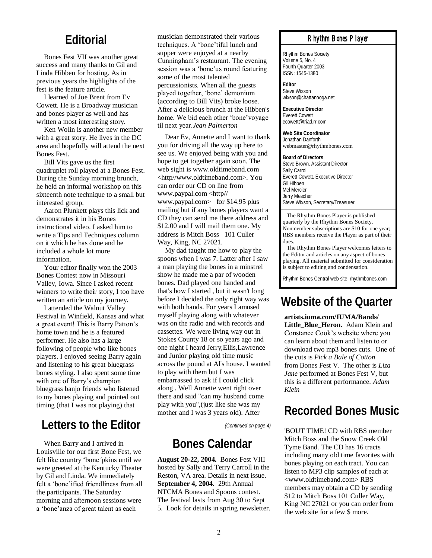#### **Editorial**

Bones Fest VII was another great success and many thanks to Gil and Linda Hibben for hosting. As in previous years the highlights of the fest is the feature article.

I learned of Joe Brent from Ev Cowett. He is a Broadway musician and bones player as well and has written a most interesting story.

Ken Wolin is another new member with a great story. He lives in the DC area and hopefully will attend the next Bones Fest.

Bill Vits gave us the first quadruplet roll played at a Bones Fest. During the Sunday morning brunch, he held an informal workshop on this sixteenth note technique to a small but interested group.

Aaron Plunkett plays this lick and demonstrates it in his Bones instructional video. I asked him to write a Tips and Techniques column on it which he has done and he included a whole lot more information.

Your editor finally won the 2003 Bones Contest now in Missouri Valley, Iowa. Since I asked recent winners to write their story, I too have written an article on my journey.

I attended the Walnut Valley Festival in Winfield, Kansas and what a great event! This is Barry Patton"s home town and he is a featured performer. He also has a large following of people who like bones players. I enjoyed seeing Barry again and listening to his great bluegrass bones styling. I also spent some time with one of Barry's champion bluegrass banjo friends who listened to my bones playing and pointed out timing (that I was not playing) that

### **Letters to the Editor**

When Barry and I arrived in Louisville for our first Bone Fest, we felt like country "bone*'*pkins until we were greeted at the Kentucky Theater by Gil and Linda. We immediately felt a "bone"ified friendliness from all the participants. The Saturday morning and afternoon sessions were a "bone"anza of great talent as each

musician demonstrated their various techniques. A "bone"tiful lunch and supper were enjoyed at a nearby Cunningham"s restaurant. The evening session was a 'bone'us round featuring some of the most talented percussionists. When all the guests played together, "bone" demonium (according to Bill Vits) broke loose. After a delicious brunch at the Hibben's home. We bid each other "bone"voyage til next year.*Jean Palmerton*

Dear Ev, Annette and I want to thank you for driving all the way up here to see us. We enjoyed being with you and hope to get together again soon. The web sight is www.oldtimeband.com <http//www.oldtimeband.com>. You can order our CD on line from www.paypal.com <http// www.paypal.com> for \$14.95 plus mailing but if any bones players want a CD they can send me there address and \$12.00 and I will mail them one. My address is Mitch Boss 101 Culler Way, King, NC 27021.

My dad taught me how to play the spoons when I was 7. Latter after I saw a man playing the bones in a minstrel show he made me a par of wooden bones. Dad played one handed and that's how I started , but it wasn't long before I decided the only right way was with both hands. For years I amused myself playing along with whatever was on the radio and with records and cassettes. We were living way out in Stokes County 18 or so years ago and one night I heard Jerry,Ellis,Lawrence and Junior playing old time music across the pound at Al's house. I wanted to play with them but I was embarrassed to ask if I could click along . Well Annette went right over there and said "can my husband come play with you",(just like she was my mother and I was 3 years old). After

*(Continued on page 4)*

### **Bones Calendar**

**August 20-22, 2004.** Bones Fest VIII hosted by Sally and Terry Carroll in the Reston, VA area. Details in next issue. **September 4, 2004.** 29th Annual NTCMA Bones and Spoons contest. The festival lasts from Aug 30 to Sept 5. Look for details in spring newsletter.

#### *Rhythm Bones Player*

Rhythm Bones Society Volume 5, No. 4 Fourth Quarter 2003 ISSN: 1545-1380

**Editor** Steve Wixson wixson@chattanooga.net

**Executive Director** Everett Cowett ecowett@triad.rr.com

**Web Site Coordinator** Jonathan Danforth webmaster@rhythmbones.com

**Board of Directors** Steve Brown, Assistant Director Sally Carroll Everett Cowett, Executive Director Gil Hibben Mel Mercier Jerry Mescher Steve Wixson, Secretary/Treasurer

 The Rhythm Bones Player is published quarterly by the Rhythm Bones Society. Nonmember subscriptions are \$10 for one year; RBS members receive the Player as part of their dues.

 The Rhythm Bones Player welcomes letters to the Editor and articles on any aspect of bones playing. All material submitted for consideration is subject to editing and condensation.

Rhythm Bones Central web site: rhythmbones.com

# **Website of the Quarter**

**artists.iuma.com/IUMA/Bands/ Little\_Blue\_Heron.** Adam Klein and Constance Cook"s website where you can learn about them and listen to or download two mp3 bones cuts. One of the cuts is *Pick a Bale of Cotton* from Bones Fest V. The other is *Liza Jane* performed at Bones Fest V, but this is a different performance. *Adam Klein*

### **Recorded Bones Music**

'BOUT TIME! CD with RBS member Mitch Boss and the Snow Creek Old Tyme Band. The CD has 16 tracts including many old time favorites with bones playing on each tract. You can listen to MP3 clip samples of each at <www.oldtimeband.com> RBS members may obtain a CD by sending \$12 to Mitch Boss 101 Culler Way, King NC 27021 or you can order from the web site for a few \$ more.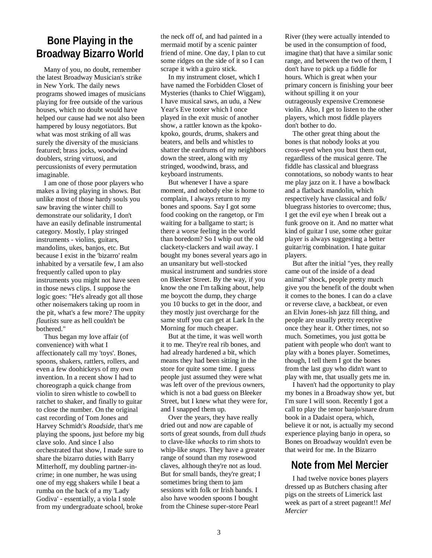#### **Bone Playing in the Broadway Bizarro World**

Many of you, no doubt, remember the latest Broadway Musician's strike in New York. The daily news programs showed images of musicians playing for free outside of the various houses, which no doubt would have helped our cause had we not also been hampered by lousy negotiators. But what was most striking of all was surely the diversity of the musicians featured; brass jocks, woodwind doublers, string virtuosi, and percussionists of every permutation imaginable.

I am one of those poor players who makes a living playing in shows. But unlike most of those hardy souls you saw braving the winter chill to demonstrate our solidarity, I don't have an easily definable instrumental category. Mostly, I play stringed instruments - violins, guitars, mandolins, ukes, banjos, etc. But because I exist in the 'bizarro' realm inhabited by a versatile few, I am also frequently called upon to play instruments you might not have seen in those news clips. I suppose the logic goes: "He's already got all those other noisemakers taking up room in the pit, what's a few more? The uppity *flautists* sure as hell couldn't be bothered."

Thus began my love affair (of convenience) with what I affectionately call my 'toys'. Bones, spoons, shakers, rattlers, rollers, and even a few doohickeys of my own invention. In a recent show I had to choreograph a quick change from violin to siren whistle to cowbell to ratchet to shaker, and finally to guitar to close the number. On the original cast recording of Tom Jones and Harvey Schmidt's *Roadside*, that's me playing the spoons, just before my big clave solo. And since I also orchestrated that show, I made sure to share the bizarro duties with Barry Mitterhoff, my doubling partner-incrime; in one number, he was using one of my egg shakers while I beat a rumba on the back of a my 'Lady Godiva' - essentially, a viola I stole from my undergraduate school, broke

the neck off of, and had painted in a mermaid motif by a scenic painter friend of mine. One day, I plan to cut some ridges on the side of it so I can scrape it with a guiro stick.

In my instrument closet, which I have named the Forbidden Closet of Mysteries (thanks to Chief Wiggam), I have musical saws, an udu, a New Year's Eve tooter which I once played in the exit music of another show, a rattler known as the kpokokpoko, gourds, drums, shakers and beaters, and bells and whistles to shatter the eardrums of my neighbors down the street, along with my stringed, woodwind, brass, and keyboard instruments.

But whenever I have a spare moment, and nobody else is home to complain, I always return to my bones and spoons. Say I got some food cooking on the rangetop, or I'm waiting for a ballgame to start; is there a worse feeling in the world than boredom? So I whip out the old clackety-clackers and wail away. I bought my bones several years ago in an unsanitary but well-stocked musical instrument and sundries store on Bleeker Street. By the way, if you know the one I'm talking about, help me boycott the dump, they charge you 10 bucks to get in the door, and they mostly just overcharge for the same stuff you can get at Lark In the Morning for much cheaper.

But at the time, it was well worth it to me. They're real rib bones, and had already hardened a bit, which means they had been sitting in the store for quite some time. I guess people just assumed they were what was left over of the previous owners, which is not a bad guess on Bleeker Street, but I knew what they were for, and I snapped them up.

Over the years, they have really dried out and now are capable of sorts of great sounds, from dull *thuds* to clave-like *whacks* to rim shots to whip-like *snaps*. They have a greater range of sound than my rosewood claves, although they're not as loud. But for small bands, they're great; I sometimes bring them to jam sessions with folk or Irish bands. I also have wooden spoons I bought from the Chinese super-store Pearl

River (they were actually intended to be used in the consumption of food, imagine that) that have a similar sonic range, and between the two of them, I don't have to pick up a fiddle for hours. Which is great when your primary concern is finishing your beer without spilling it on your outrageously expensive Cremonese violin. Also, I get to listen to the other players, which most fiddle players don't bother to do.

The other great thing about the bones is that nobody looks at you cross-eyed when you bust them out, regardless of the musical genre. The fiddle has classical and bluegrass connotations, so nobody wants to hear me play jazz on it. I have a bowlback and a flatback mandolin, which respectively have classical and folk/ bluegrass histories to overcome; thus, I get the evil eye when I break out a funk groove on it. And no matter what kind of guitar I use, some other guitar player is always suggesting a better guitar/rig combination. I hate guitar players.

But after the initial "yes, they really came out of the inside of a dead animal" shock, people pretty much give you the benefit of the doubt when it comes to the bones. I can do a clave or reverse clave, a backbeat, or even an Elvin Jones-ish jazz fill thing, and people are usually pretty receptive once they hear it. Other times, not so much. Sometimes, you just gotta be patient with people who don't want to play with a bones player. Sometimes, though, I tell them I got the bones from the last guy who didn't want to play with me, that usually gets me in.

I haven't had the opportunity to play my bones in a Broadway show yet, but I'm sure I will soon. Recently I got a call to play the tenor banjo/snare drum book in a Dadaist opera, which, believe it or not, is actually my second experience playing banjo in opera, so Bones on Broadway wouldn't even be that weird for me. In the Bizarro

#### **Note from Mel Mercier**

I had twelve novice bones players dressed up as Butchers chasing after pigs on the streets of Limerick last week as part of a street pageant!! *Mel Mercier*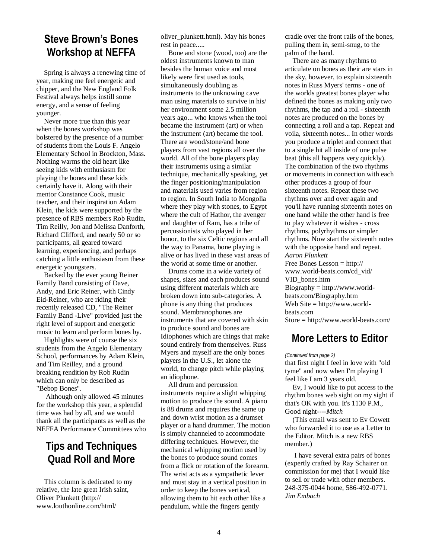#### **Steve Brown's Bones Workshop at NEFFA**

Spring is always a renewing time of year, making me feel energetic and chipper, and the New England Folk Festival always helps instill some energy, and a sense of feeling younger.

Never more true than this year when the bones workshop was bolstered by the presence of a number of students from the Louis F. Angelo Elementary School in Brockton, Mass. Nothing warms the old heart like seeing kids with enthusiasm for playing the bones and these kids certainly have it. Along with their mentor Constance Cook, music teacher, and their inspiration Adam Klein, the kids were supported by the presence of RBS members Rob Rudin, Tim Reilly, Jon and Melissa Danforth, Richard Clifford, and nearly 50 or so participants, all geared toward learning, experiencing, and perhaps catching a little enthusiasm from these energetic youngsters.

Backed by the ever young Reiner Family Band consisting of Dave, Andy, and Eric Reiner, with Cindy Eid-Reiner, who are riding their recently released CD, "The Reiner Family Band -Live" provided just the right level of support and energetic music to learn and perform bones by.

Highlights were of course the six students from the Angelo Elementary School, performances by Adam Klein, and Tim Reilley, and a ground breaking rendition by Rob Rudin which can only be described as "Bebop Bones".

Although only allowed 45 minutes for the workshop this year, a splendid time was had by all, and we would thank all the participants as well as the NEFFA Performance Committees who

#### **Tips and Techniques Quad Roll and More**

This column is dedicated to my relative, the late great Irish saint, Oliver Plunkett (http:// www.louthonline.com/html/

oliver\_plunkett.html). May his bones rest in peace.....

Bone and stone (wood, too) are the oldest instruments known to man besides the human voice and most likely were first used as tools, simultaneously doubling as instruments to the unknowing cave man using materials to survive in his/ her environment some 2.5 million years ago... who knows when the tool became the instrument (art) or when the instrument (art) became the tool. There are wood/stone/and bone players from vast regions all over the world. All of the bone players play their instruments using a similar technique, mechanically speaking, yet the finger positioning/manipulation and materials used varies from region to region. In South India to Mongolia where they play with stones, to Egypt where the cult of Hathor, the avenger and daughter of Ram, has a tribe of percussionists who played in her honor, to the six Celtic regions and all the way to Panama, bone playing is alive or has lived in these vast areas of the world at some time or another.

Drums come in a wide variety of shapes, sizes and each produces sound using different materials which are broken down into sub-categories. A phone is any thing that produces sound. Membranophones are instruments that are covered with skin to produce sound and bones are Idiophones which are things that make sound entirely from themselves. Russ Myers and myself are the only bones players in the U.S., let alone the world, to change pitch while playing an idiophone.

All drum and percussion instruments require a slight whipping motion to produce the sound. A piano is 88 drums and requires the same up and down wrist motion as a drumset player or a hand drummer. The motion is simply channeled to accommodate differing techniques. However, the mechanical whipping motion used by the bones to produce sound comes from a flick or rotation of the forearm. The wrist acts as a sympathetic lever and must stay in a vertical position in order to keep the bones vertical, allowing them to hit each other like a pendulum, while the fingers gently

cradle over the front rails of the bones, pulling them in, semi-snug, to the palm of the hand.

There are as many rhythms to articulate on bones as their are stars in the sky, however, to explain sixteenth notes in Russ Myers' terms - one of the worlds greatest bones player who defined the bones as making only two rhythms, the tap and a roll - sixteenth notes are produced on the bones by connecting a roll and a tap. Repeat and voila, sixteenth notes... In other words you produce a triplet and connect that to a single hit all inside of one pulse beat (this all happens very quickly). The combination of the two rhythms or movements in connection with each other produces a group of four sixteenth notes. Repeat these two rhythms over and over again and you'll have running sixteenth notes on one hand while the other hand is free to play whatever it wishes - cross rhythms, polyrhythms or simpler rhythms. Now start the sixteenth notes with the opposite hand and repeat. *Aaron Plunkett*  Free Bones Lesson = http:// www.world-beats.com/cd\_vid/ VID\_bones.htm Biography = http://www.worldbeats.com/Biography.htm Web Site = http://www.world-

beats.com

#### Store = http://www.world-beats.com/

#### **More Letters to Editor**

#### *(Continued from page 2)*

that first night I feel in love with "old tyme" and now when I'm playing I feel like I am 3 years old.

Ev, I would like to put access to the rhythm bones web sight on my sight if that's OK with you. It's 1130 P.M., Good night----*Mitch* 

(This email was sent to Ev Cowett who forwarded it to use as a Letter to the Editor. Mitch is a new RBS member.)

I have several extra pairs of bones (expertly crafted by Ray Schairer on commission for me) that I would like to sell or trade with other members. 248-375-0044 home, 586-492-0771. *Jim Embach*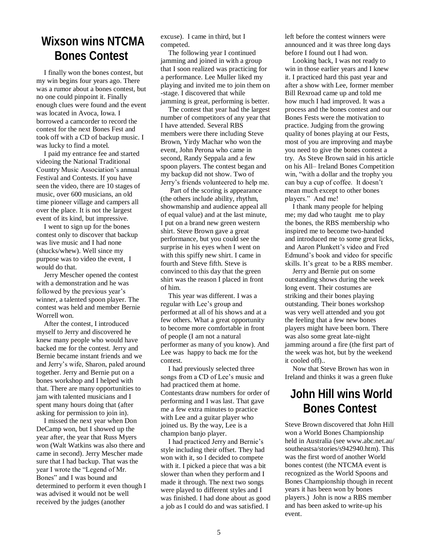## **Wixson wins NTCMA Bones Contest**

I finally won the bones contest, but my win begins four years ago. There was a rumor about a bones contest, but no one could pinpoint it. Finally enough clues were found and the event was located in Avoca, Iowa. I borrowed a camcorder to record the contest for the next Bones Fest and took off with a CD of backup music. I was lucky to find a motel.

I paid my entrance fee and started videoing the National Traditional Country Music Association"s annual Festival and Contests. If you have seen the video, there are 10 stages of music, over 600 musicians, an old time pioneer village and campers all over the place. It is not the largest event of its kind, but impressive.

I went to sign up for the bones contest only to discover that backup was live music and I had none (shucks/whew). Well since my purpose was to video the event, I would do that.

Jerry Mescher opened the contest with a demonstration and he was followed by the previous year's winner, a talented spoon player. The contest was held and member Bernie Worrell won.

After the contest, I introduced myself to Jerry and discovered he knew many people who would have backed me for the contest. Jerry and Bernie became instant friends and we and Jerry"s wife, Sharon, paled around together. Jerry and Bernie put on a bones workshop and I helped with that. There are many opportunities to jam with talented musicians and I spent many hours doing that (after asking for permission to join in).

I missed the next year when Don DeCamp won, but I showed up the year after, the year that Russ Myers won (Walt Watkins was also there and came in second). Jerry Mescher made sure that I had backup. That was the year I wrote the "Legend of Mr. Bones" and I was bound and determined to perform it even though I was advised it would not be well received by the judges (another

excuse). I came in third, but I competed.

The following year I continued jamming and joined in with a group that I soon realized was practicing for a performance. Lee Muller liked my playing and invited me to join them on -stage. I discovered that while jamming is great, performing is better.

The contest that year had the largest number of competitors of any year that I have attended. Several RBS members were there including Steve Brown, Yirdy Machar who won the event, John Perona who came in second, Randy Seppala and a few spoon players. The contest began and my backup did not show. Two of Jerry"s friends volunteered to help me.

Part of the scoring is appearance (the others include ability, rhythm, showmanship and audience appeal all of equal value) and at the last minute, I put on a brand new green western shirt. Steve Brown gave a great performance, but you could see the surprise in his eyes when I went on with this spiffy new shirt. I came in fourth and Steve fifth. Steve is convinced to this day that the green shirt was the reason I placed in front of him.

This year was different. I was a regular with Lee"s group and performed at all of his shows and at a few others. What a great opportunity to become more comfortable in front of people (I am not a natural performer as many of you know). And Lee was happy to back me for the contest.

I had previously selected three songs from a CD of Lee's music and had practiced them at home. Contestants draw numbers for order of performing and I was last. That gave me a few extra minutes to practice with Lee and a guitar player who joined us. By the way, Lee is a champion banjo player.

I had practiced Jerry and Bernie"s style including their offset. They had won with it, so I decided to compete with it. I picked a piece that was a bit slower than when they perform and I made it through. The next two songs were played to different styles and I was finished. I had done about as good a job as I could do and was satisfied. I

left before the contest winners were announced and it was three long days before I found out I had won.

Looking back, I was not ready to win in those earlier years and I knew it. I practiced hard this past year and after a show with Lee, former member Bill Rexroad came up and told me how much I had improved. It was a process and the bones contest and our Bones Fests were the motivation to practice. Judging from the growing quality of bones playing at our Fests, most of you are improving and maybe you need to give the bones contest a try. As Steve Brown said in his article on his All– Ireland Bones Competition win, "with a dollar and the trophy you can buy a cup of coffee. It doesn"t mean much except to other bones players." And me!

I thank many people for helping me; my dad who taught me to play the bones, the RBS membership who inspired me to become two-handed and introduced me to some great licks, and Aaron Plunkett"s video and Fred Edmund"s book and video for specific skills. It's great to be a RBS member.

Jerry and Bernie put on some outstanding shows during the week long event. Their costumes are striking and their bones playing outstanding. Their bones workshop was very well attended and you got the feeling that a few new bones players might have been born. There was also some great late-night jamming around a fire (the first part of the week was hot, but by the weekend it cooled off)..

Now that Steve Brown has won in Ireland and thinks it was a green fluke

## **John Hill wins World Bones Contest**

Steve Brown discovered that John Hill won a World Bones Championship held in Australia (see www.abc.net.au/ southeastsa/stories/s942940.htm). This was the first word of another World bones contest (the NTCMA event is recognized as the World Spoons and Bones Championship though in recent years it has been won by bones players.) John is now a RBS member and has been asked to write-up his event.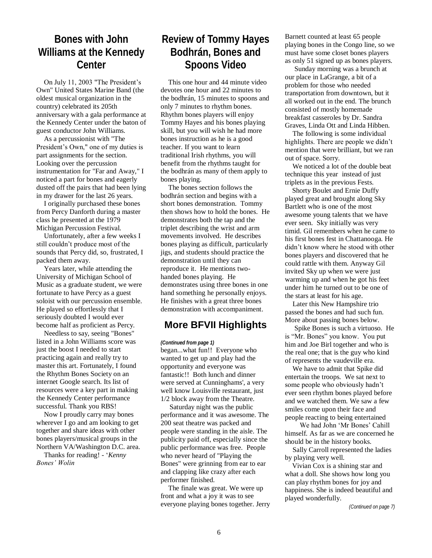#### **Bones with John Williams at the Kennedy Center**

On July 11, 2003 "The President's Own" United States Marine Band (the oldest musical organization in the country) celebrated its 205th anniversary with a gala performance at the Kennedy Center under the baton of guest conductor John Williams.

As a percussionist with "The President's Own," one of my duties is part assignments for the section. Looking over the percussion instrumentation for "Far and Away," I noticed a part for bones and eagerly dusted off the pairs that had been lying in my drawer for the last 26 years.

I originally purchased these bones from Percy Danforth during a master class he presented at the 1979 Michigan Percussion Festival.

Unfortunately, after a few weeks I still couldn"t produce most of the sounds that Percy did, so, frustrated, I packed them away.

Years later, while attending the University of Michigan School of Music as a graduate student, we were fortunate to have Percy as a guest soloist with our percussion ensemble. He played so effortlessly that I seriously doubted I would ever become half as proficient as Percy.

Needless to say, seeing "Bones" listed in a John Williams score was just the boost I needed to start practicing again and really try to master this art. Fortunately, I found the Rhythm Bones Society on an internet Google search. Its list of resources were a key part in making the Kennedy Center performance successful. Thank you RBS!

Now I proudly carry may bones wherever I go and am looking to get together and share ideas with other bones players/musical groups in the Northern VA/Washington D.C. area.

Thanks for reading! - "*Kenny Bones' Wolin*

#### **Review of Tommy Hayes Bodhrán, Bones and Spoons Video**

This one hour and 44 minute video devotes one hour and 22 minutes to the bodhrán, 15 minutes to spoons and only 7 minutes to rhythm bones. Rhythm bones players will enjoy Tommy Hayes and his bones playing skill, but you will wish he had more bones instruction as he is a good teacher. If you want to learn traditional Irish rhythms, you will benefit from the rhythms taught for the bodhrán as many of them apply to bones playing.

The bones section follows the bodhrán section and begins with a short bones demonstration. Tommy then shows how to hold the bones. He demonstrates both the tap and the triplet describing the wrist and arm movements involved. He describes bones playing as difficult, particularly jigs, and students should practice the demonstration until they can reproduce it. He mentions twohanded bones playing. He demonstrates using three bones in one hand something he personally enjoys. He finishes with a great three bones demonstration with accompaniment.

#### **More BFVII Highlights**

*(Continued from page 1)*

began...what fun!! Everyone who wanted to get up and play had the opportunity and everyone was fantastic!! Both lunch and dinner were served at Cunninghams', a very well know Louisville restaurant, just 1/2 block away from the Theatre.

 Saturday night was the public performance and it was awesome. The 200 seat theatre was packed and people were standing in the aisle. The publicity paid off, especially since the public performance was free. People who never heard of "Playing the Bones" were grinning from ear to ear and clapping like crazy after each performer finished.

The finale was great. We were up front and what a joy it was to see everyone playing bones together. Jerry Barnett counted at least 65 people playing bones in the Congo line, so we must have some closet bones players as only 51 signed up as bones players.

Sunday morning was a brunch at our place in LaGrange, a bit of a problem for those who needed transportation from downtown, but it all worked out in the end. The brunch consisted of mostly homemade breakfast casseroles by Dr. Sandra Graves, Linda Ott and Linda Hibben.

The following is some individual highlights. There are people we didn't mention that were brilliant, but we ran out of space. Sorry.

We noticed a lot of the double beat technique this year instead of just triplets as in the previous Fests.

 Shorty Boulet and Ernie Duffy played great and brought along Sky Bartlett who is one of the most awesome young talents that we have ever seen. Sky initially was very timid. Gil remembers when he came to his first bones fest in Chattanooga. He didn"t know where he stood with other bones players and discovered that he could rattle with them. Anyway Gil invited Sky up when we were just warming up and when he got his feet under him he turned out to be one of the stars at least for his age.

Later this New Hampshire trio passed the bones and had such fun. More about passing bones below.

Spike Bones is such a virtuoso. He is "Mr. Bones" you know. You put him and Joe Birl together and who is the real one; that is the guy who kind of represents the vaudeville era.

We have to admit that Spike did entertain the troops. We sat next to some people who obviously hadn"t ever seen rhythm bones played before and we watched them. We saw a few smiles come upon their face and people reacting to being entertained

We had John 'Mr Bones' Cahill himself. As far as we are concerned he should be in the history books.

Sally Carroll represented the ladies by playing very well.

 Vivian Cox is a shining star and what a doll. She shows how long you can play rhythm bones for joy and happiness. She is indeed beautiful and played wonderfully.

*(Continued on page 7)*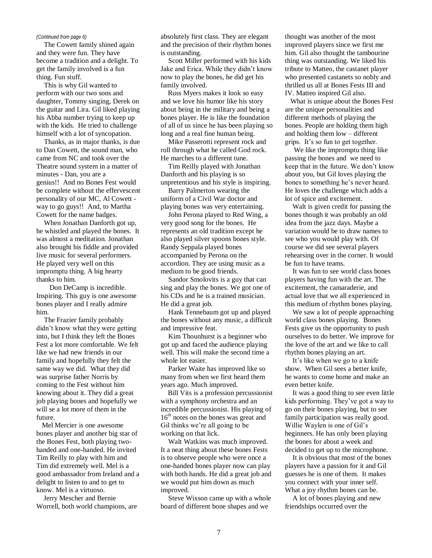The Cowett family shined again and they were fun. They have become a tradition and a delight. To get the family involved is a fun thing. Fun stuff.

This is why Gil wanted to perform with our two sons and daughter, Tommy singing, Derek on the guitar and Lira. Gil liked playing his Abba number trying to keep up with the kids. He tried to challenge himself with a lot of syncopation.

Thanks, as in major thanks, is due to Dan Cowett, the sound man, who came from NC and took over the Theatre sound system in a matter of minutes - Dan, you are a genius!! And no Bones Fest would be complete without the effervescent personality of our MC, Al Cowett way to go guys!! And, to Martha Cowett for the name badges.

When Jonathan Danforth got up, he whistled and played the bones. It was almost a meditation. Jonathan also brought his fiddle and provided live music for several performers. He played very well on this impromptu thing. A big hearty thanks to him.

 Don DeCamp is incredible. Inspiring. This guy is one awesome bones player and I really admire him.

The Frazier family probably didn"t know what they were getting into, but I think they left the Bones Fest a lot more comfortable. We felt like we had new friends in our family and hopefully they felt the same way we did. What they did was surprise father Norris by coming to the Fest without him knowing about it. They did a great job playing bones and hopefully we will se a lot more of them in the future.

 Mel Mercier is one awesome bones player and another big star of the Bones Fest, both playing twohanded and one-handed. He invited Tim Reilly to play with him and Tim did extremely well. Mel is a good ambassador from Ireland and a delight to listen to and to get to know. Mel is a virtuoso.

 Jerry Mescher and Bernie Worrell, both world champions, are

*(Continued from page 6)* absolutely first class. They are elegant and the precision of their rhythm bones is outstanding.

> Scott Miller performed with his kids Jake and Erica. While they didn"t know now to play the bones, he did get his family involved.

> Russ Myers makes it look so easy and we love his humor like his story about being in the military and being a bones player. He is like the foundation of all of us since he has been playing so long and a real fine human being.

Mike Passerotti represent rock and roll through what he called God rock. He marches to a different tune.

Tim Reilly played with Jonathan Danforth and his playing is so unpretentious and his style is inspiring.

Barry Palmerton wearing the uniform of a Civil War doctor and playing bones was very entertaining.

John Perona played to Red Wing, a very good song for the bones. He represents an old tradition except he also played silver spoons bones style. Randy Seppala played bones accompanied by Perona on the accordion. They are using music as a medium to be good friends.

Sandor Smolovits is a guy that can sing and play the bones. We got one of his CDs and he is a trained musician. He did a great job.

Hank Tennebaum got up and played the bones without any music, a difficult and impressive feat.

Kim Thounhurst is a beginner who got up and faced the audience playing well. This will make the second time a whole lot easier.

Parker Waite has improved like so many from when we first heard them years ago. Much improved.

 Bill Vits is a profession percussionist with a symphony orchestra and an incredible percussionist. His playing of 16<sup>th</sup> notes on the bones was great and Gil thinks we"re all going to be working on that lick.

Walt Watkins was much improved. It a neat thing about these bones Fests is to observe people who were once a one-handed bones player now can play with both hands. He did a great job and we would put him down as much improved.

Steve Wixson came up with a whole board of different bone shapes and we

thought was another of the most improved players since we first me him. Gil also thought the tambourine thing was outstanding. We liked his tribute to Matteo, the castanet player who presented castanets so nobly and thrilled us all at Bones Fests III and IV. Matteo inspired Gil also.

 What is unique about the Bones Fest are the unique personalities and different methods of playing the bones. People are holding them high and holding them low – different grips. It"s so fun to get together.

 We like the impromptu thing like passing the bones and we need to keep that in the future. We don"t know about you, but Gil loves playing the bones to something he's never heard. He loves the challenge which adds a lot of spice and excitement.

Walt is given credit for passing the bones though it was probably an old idea from the jazz days. Maybe a variation would be to draw names to see who you would play with. Of course we did see several players rehearsing over in the corner. It would be fun to have teams.

It was fun to see world class bones players having fun with the art. The excitement, the camaraderie, and actual love that we all experienced in this medium of rhythm bones playing.

We saw a lot of people approaching world class bones playing. Bones Fests give us the opportunity to push ourselves to do better. We improve for the love of the art and we like to call rhythm bones playing an art.

It"s like when we go to a knife show. When Gil sees a better knife, he wants to come home and make an even better knife.

It was a good thing to see even little kids performing. They"ve got a way to go on their bones playing, but to see family participation was really good. Willie Waylen is one of Gil"s beginners. He has only been playing the bones for about a week and decided to get up to the microphone.

It is obvious that most of the bones players have a passion for it and Gil guesses he is one of them. It makes you connect with your inner self. What a joy rhythm bones can be.

A lot of bones playing and new friendships occurred over the